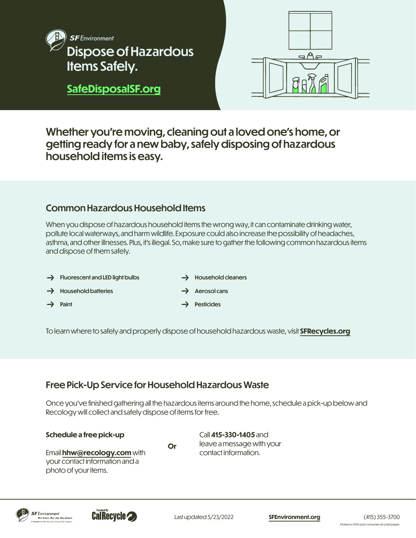



Whether you're moving, cleaning out a loved one's home, or getting ready for a new baby, safely disposing of hazardous household items is easy.

## Common Hazardous Household Items

When you dispose of hazardous household items the wrong way, it can contaminate drinking water, pollute local waterways, and harm wildlife. Exposure could also increase the possibility of headaches, asthma, and other illnesses. Plus, it's illegal. So, make sure to gather the following common hazardous items and dispose of them safely.

 $\rightarrow$  Fluorescent and LED light bulbs  $\rightarrow$  Household batteries  $\rightarrow$  Paint  $\rightarrow$  Household cleaners Aerosol cans **Pesticides** 

To learn where to safely and properly dispose of household hazardous waste, visit **[SFRecycles.org](http://SFRecycles.org)**

# Free Pick-Up Service for Household Hazardous Waste

Once you've finished gathering all the hazardous items around the home, schedule a pick-up below and Recology will collect and safely dispose of items for free.

**Schedule a free pick-up**

**Or**

Email **[hhw@recology.com](mailto:hhw%40recology.com?subject=)** with your contact information and a photo of your items.

Call **415-330-1405** and leave a message with your contact information.